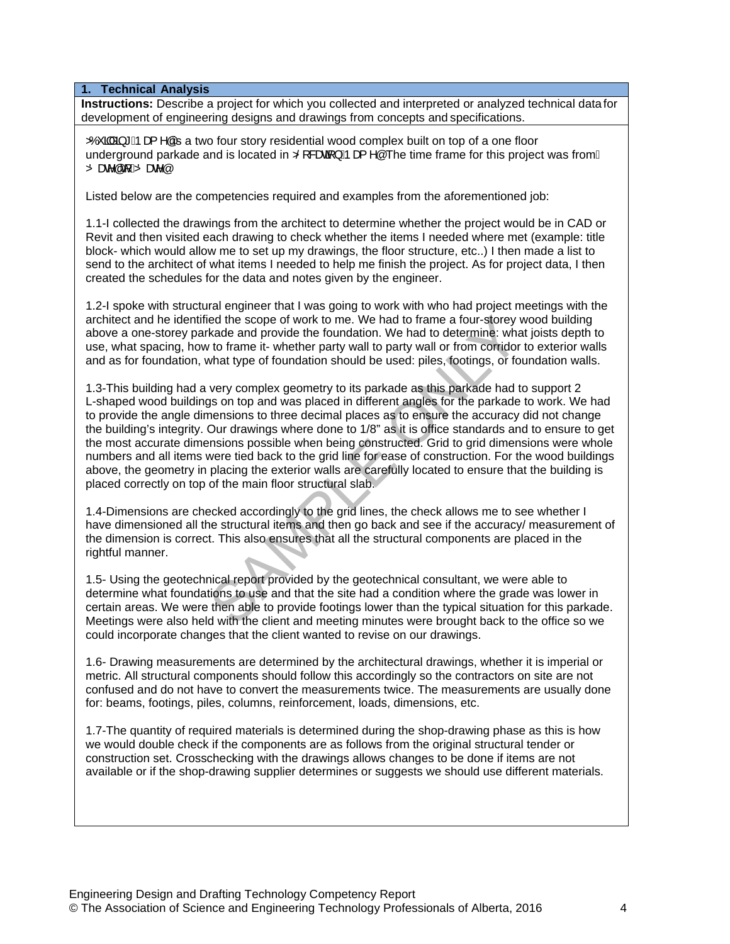**1. Technical Analysis**

**Instructions:** Describe a project for which you collected and interpreted or analyzed technical data for development of engineering designs and drawings from concepts and specifications.

 $\overleftrightarrow{\mathbf{D}}$  and  $\overrightarrow{\mathbf{D}}$  and  $\overrightarrow{\mathbf{A}}$  and  $\overrightarrow{\mathbf{A}}$  are floor is story residential wood complex built on top of a one floor underground parkade and is located in  $\ddot{\triangle}$  &  $\ddot{\theta}$  &  $\ddot{\theta}$   $\dot{\theta}$   $\ddot{\theta}$  as The time frame for this project was from  $\dot{\theta}$ Zbaz<sup>o</sup>át Ázbaz<sup>o</sup>á

Listed below are the competencies required and examples from the aforementioned job:

1.1-I collected the drawings from the architect to determine whether the project would be in CAD or Revit and then visited each drawing to check whether the items I needed where met (example: title block- which would allow me to set up my drawings, the floor structure, etc..) I then made a list to send to the architect of what items I needed to help me finish the project. As for project data, I then created the schedules for the data and notes given by the engineer.

1.2-I spoke with structural engineer that I was going to work with who had project meetings with the architect and he identified the scope of work to me. We had to frame a four-storey wood building above a one-storey parkade and provide the foundation. We had to determine: what joists depth to use, what spacing, how to frame it- whether party wall to party wall or from corridor to exterior walls and as for foundation, what type of foundation should be used: piles, footings, or foundation walls.

1.3-This building had a very complex geometry to its parkade as this parkade had to support 2 L-shaped wood buildings on top and was placed in different angles for the parkade to work. We had to provide the angle dimensions to three decimal places as to ensure the accuracy did not change the building's integrity. Our drawings where done to 1/8" as it is office standards and to ensure to get the most accurate dimensions possible when being constructed. Grid to grid dimensions were whole numbers and all items were tied back to the grid line for ease of construction. For the wood buildings above, the geometry in placing the exterior walls are carefully located to ensure that the building is placed correctly on top of the main floor structural slab. ed the scope of work to me. We had to frame a four-storey v<br>kade and provide the foundation. We had to determine: what<br>to frame it-whether party wall to party wall or from corridor<br>what type of foundation should be used: p

1.4-Dimensions are checked accordingly to the grid lines, the check allows me to see whether I have dimensioned all the structural items and then go back and see if the accuracy/ measurement of the dimension is correct. This also ensures that all the structural components are placed in the rightful manner.

1.5- Using the geotechnical report provided by the geotechnical consultant, we were able to determine what foundations to use and that the site had a condition where the grade was lower in certain areas. We were then able to provide footings lower than the typical situation for this parkade. Meetings were also held with the client and meeting minutes were brought back to the office so we could incorporate changes that the client wanted to revise on our drawings.

1.6- Drawing measurements are determined by the architectural drawings, whether it is imperial or metric. All structural components should follow this accordingly so the contractors on site are not confused and do not have to convert the measurements twice. The measurements are usually done for: beams, footings, piles, columns, reinforcement, loads, dimensions, etc.

1.7-The quantity of required materials is determined during the shop-drawing phase as this is how we would double check if the components are as follows from the original structural tender or construction set. Crosschecking with the drawings allows changes to be done if items are not available or if the shop-drawing supplier determines or suggests we should use different materials.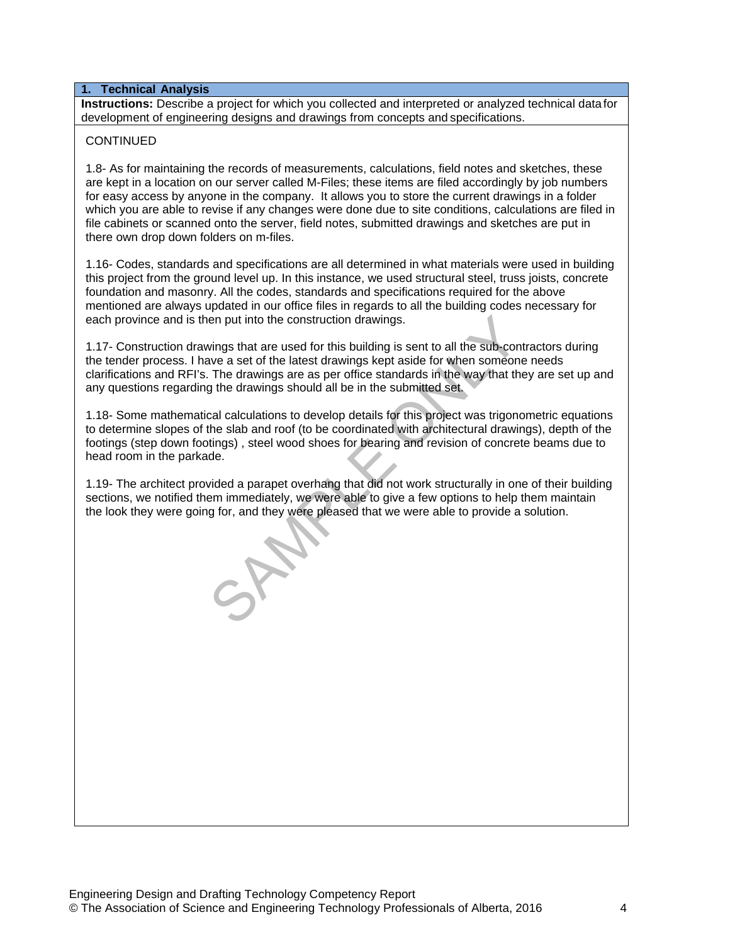## **1. Technical Analysis**

**Instructions:** Describe a project for which you collected and interpreted or analyzed technical data for development of engineering designs and drawings from concepts and specifications.

# **CONTINUED**

1.8- As for maintaining the records of measurements, calculations, field notes and sketches, these are kept in a location on our server called M-Files; these items are filed accordingly by job numbers for easy access by anyone in the company. It allows you to store the current drawings in a folder which you are able to revise if any changes were done due to site conditions, calculations are filed in file cabinets or scanned onto the server, field notes, submitted drawings and sketches are put in there own drop down folders on m-files.

1.16- Codes, standards and specifications are all determined in what materials were used in building this project from the ground level up. In this instance, we used structural steel, truss joists, concrete foundation and masonry. All the codes, standards and specifications required for the above mentioned are always updated in our office files in regards to all the building codes necessary for each province and is then put into the construction drawings.

1.17- Construction drawings that are used for this building is sent to all the sub-contractors during the tender process. I have a set of the latest drawings kept aside for when someone needs clarifications and RFI's. The drawings are as per office standards in the way that they are set up and any questions regarding the drawings should all be in the submitted set. en put into the construction drawings.<br>
Share wings that are used for this building is sent to all the sub-conce a set of the latest drawings kept aside for when someon<br>
The drawings are as per office standards in the way

1.18- Some mathematical calculations to develop details for this project was trigonometric equations to determine slopes of the slab and roof (to be coordinated with architectural drawings), depth of the footings (step down footings) , steel wood shoes for bearing and revision of concrete beams due to head room in the parkade.

1.19- The architect provided a parapet overhang that did not work structurally in one of their building sections, we notified them immediately, we were able to give a few options to help them maintain the look they were going for, and they were pleased that we were able to provide a solution.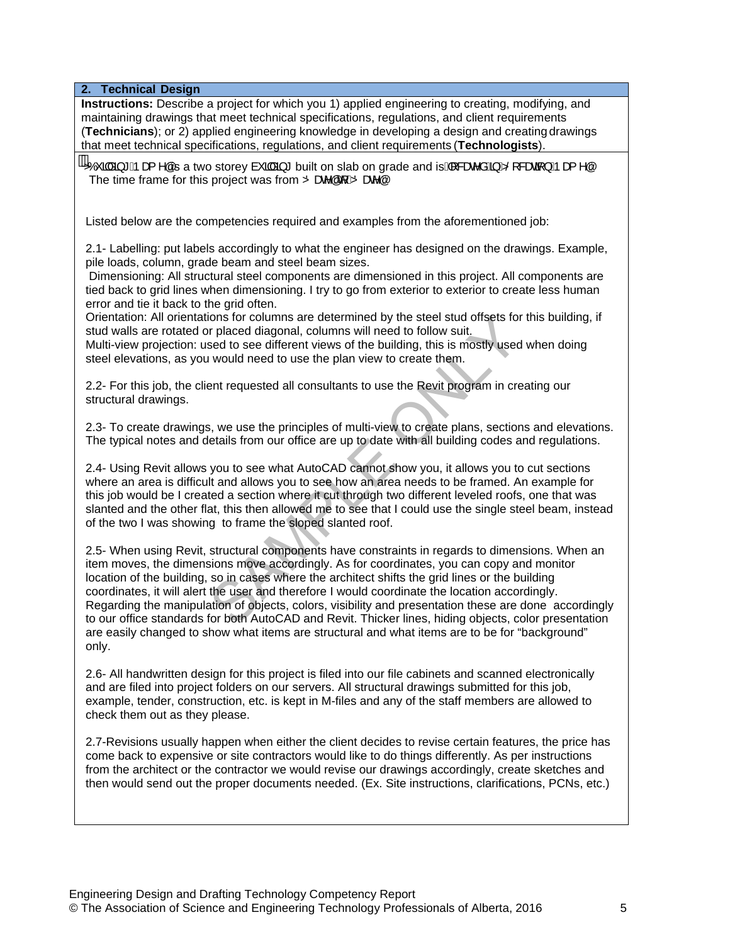**2. Technical Design**

**Instructions:** Describe a project for which you 1) applied engineering to creating, modifying, and maintaining drawings that meet technical specifications, regulations, and client requirements (**Technicians**); or 2) applied engineering knowledge in developing a design and creating drawings that meet technical specifications, regulations, and client requirements (**Technologists**).

 $X$ ) da  $*$  Apas ^aks a two storey a da  $*$  built on slab on grade and is A sae a  $\frac{X}{2}$  and  $\frac{X}{2}$  and  $*$ The time frame for this project was from  $\ddot{\mathbf{Z}}$ ) and  $\ddot{\mathbf{A}}$   $\ddot{\mathbf{Z}}$ 

Listed below are the competencies required and examples from the aforementioned job:

2.1- Labelling: put labels accordingly to what the engineer has designed on the drawings. Example, pile loads, column, grade beam and steel beam sizes.

 Dimensioning: All structural steel components are dimensioned in this project. All components are tied back to grid lines when dimensioning. I try to go from exterior to exterior to create less human error and tie it back to the grid often.

Orientation: All orientations for columns are determined by the steel stud offsets for this building, if stud walls are rotated or placed diagonal, columns will need to follow suit.

Multi-view projection: used to see different views of the building, this is mostly used when doing steel elevations, as you would need to use the plan view to create them.

2.2- For this job, the client requested all consultants to use the Revit program in creating our structural drawings.

2.3- To create drawings, we use the principles of multi-view to create plans, sections and elevations. The typical notes and details from our office are up to date with all building codes and regulations.

2.4- Using Revit allows you to see what AutoCAD cannot show you, it allows you to cut sections where an area is difficult and allows you to see how an area needs to be framed. An example for this job would be I created a section where it cut through two different leveled roofs, one that was slanted and the other flat, this then allowed me to see that I could use the single steel beam, instead of the two I was showing to frame the sloped slanted roof.

2.5- When using Revit, structural components have constraints in regards to dimensions. When an item moves, the dimensions move accordingly. As for coordinates, you can copy and monitor location of the building, so in cases where the architect shifts the grid lines or the building coordinates, it will alert the user and therefore I would coordinate the location accordingly. Regarding the manipulation of objects, colors, visibility and presentation these are done accordingly to our office standards for both AutoCAD and Revit. Thicker lines, hiding objects, color presentation are easily changed to show what items are structural and what items are to be for "background" only. ions for columns are determined by the steel stud offsets for<br>
r placed diagonal, columns will need to follow suit.<br>
sed to see different views of the building, this is mostly used<br>
would need to use the plan view to creat

2.6- All handwritten design for this project is filed into our file cabinets and scanned electronically and are filed into project folders on our servers. All structural drawings submitted for this job, example, tender, construction, etc. is kept in M-files and any of the staff members are allowed to check them out as they please.

2.7-Revisions usually happen when either the client decides to revise certain features, the price has come back to expensive or site contractors would like to do things differently. As per instructions from the architect or the contractor we would revise our drawings accordingly, create sketches and then would send out the proper documents needed. (Ex. Site instructions, clarifications, PCNs, etc.)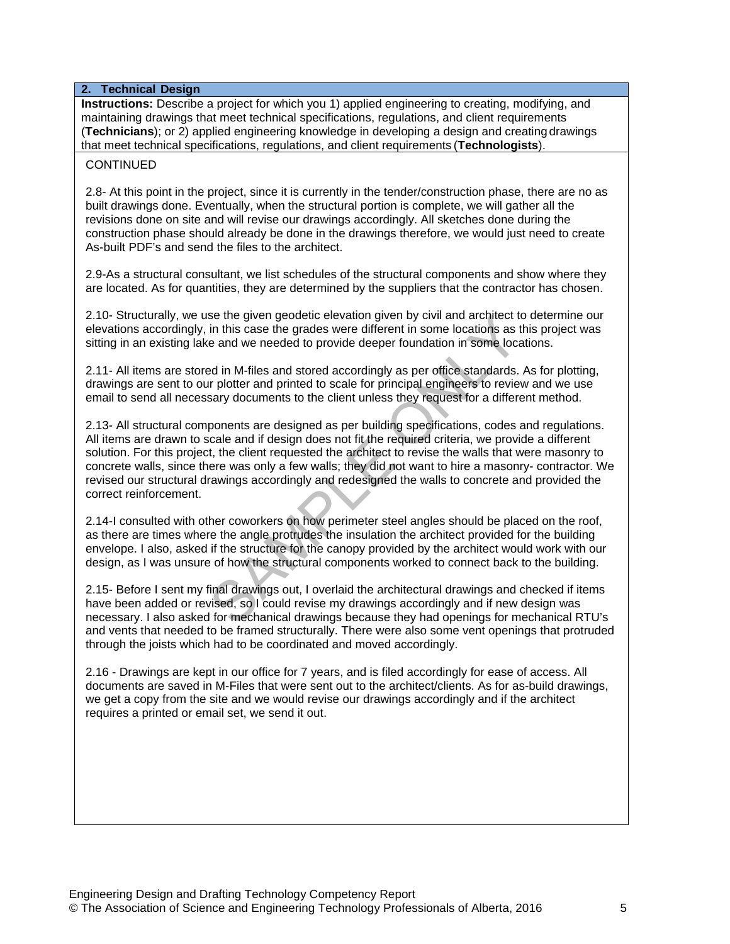## **2. Technical Design**

**Instructions:** Describe a project for which you 1) applied engineering to creating, modifying, and maintaining drawings that meet technical specifications, regulations, and client requirements (**Technicians**); or 2) applied engineering knowledge in developing a design and creating drawings that meet technical specifications, regulations, and client requirements (**Technologists**).

## **CONTINUED**

2.8- At this point in the project, since it is currently in the tender/construction phase, there are no as built drawings done. Eventually, when the structural portion is complete, we will gather all the revisions done on site and will revise our drawings accordingly. All sketches done during the construction phase should already be done in the drawings therefore, we would just need to create As-built PDF's and send the files to the architect.

2.9-As a structural consultant, we list schedules of the structural components and show where they are located. As for quantities, they are determined by the suppliers that the contractor has chosen.

2.10- Structurally, we use the given geodetic elevation given by civil and architect to determine our elevations accordingly, in this case the grades were different in some locations as this project was sitting in an existing lake and we needed to provide deeper foundation in some locations.

2.11- All items are stored in M-files and stored accordingly as per office standards. As for plotting, drawings are sent to our plotter and printed to scale for principal engineers to review and we use email to send all necessary documents to the client unless they request for a different method.

2.13- All structural components are designed as per building specifications, codes and regulations. All items are drawn to scale and if design does not fit the required criteria, we provide a different solution. For this project, the client requested the architect to revise the walls that were masonry to concrete walls, since there was only a few walls; they did not want to hire a masonry- contractor. We revised our structural drawings accordingly and redesigned the walls to concrete and provided the correct reinforcement. See the given geodelic elevation given by civil and architect to<br>in this case the grades were different in some locations as to and we needed to provide deeper foundation in some locate<br>and we needed to provide deeper foun

2.14-I consulted with other coworkers on how perimeter steel angles should be placed on the roof, as there are times where the angle protrudes the insulation the architect provided for the building envelope. I also, asked if the structure for the canopy provided by the architect would work with our design, as I was unsure of how the structural components worked to connect back to the building.

2.15- Before I sent my final drawings out, I overlaid the architectural drawings and checked if items have been added or revised, so I could revise my drawings accordingly and if new design was necessary. I also asked for mechanical drawings because they had openings for mechanical RTU's and vents that needed to be framed structurally. There were also some vent openings that protruded through the joists which had to be coordinated and moved accordingly.

2.16 - Drawings are kept in our office for 7 years, and is filed accordingly for ease of access. All documents are saved in M-Files that were sent out to the architect/clients. As for as-build drawings, we get a copy from the site and we would revise our drawings accordingly and if the architect requires a printed or email set, we send it out.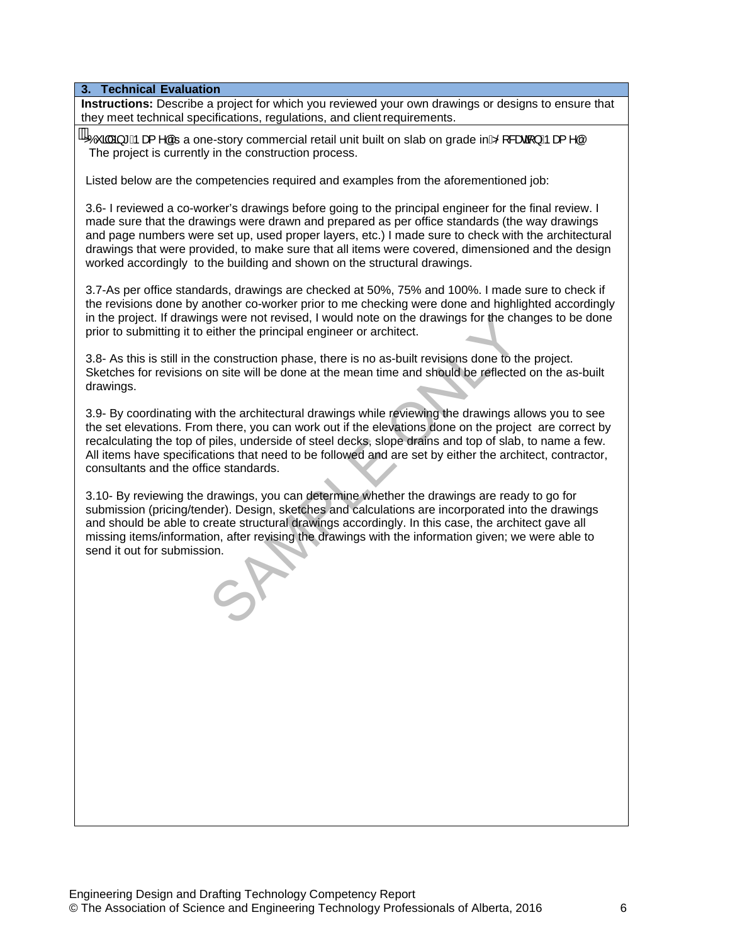**3. Technical Evaluation**

**Instructions:** Describe a project for which you reviewed your own drawings or designs to ensure that they meet technical specifications, regulations, and client requirements.

...<br>
20 Zó 3åã \* Ápæ{ ^áÁs a one-story commercial retail unit built on slab on grade inÆS[ &æa{ } Ápæ{ ^a The project is currently in the construction process.

Listed below are the competencies required and examples from the aforementioned job:

3.6- I reviewed a co-worker's drawings before going to the principal engineer for the final review. I made sure that the drawings were drawn and prepared as per office standards (the way drawings and page numbers were set up, used proper layers, etc.) I made sure to check with the architectural drawings that were provided, to make sure that all items were covered, dimensioned and the design worked accordingly to the building and shown on the structural drawings.

3.7-As per office standards, drawings are checked at 50%, 75% and 100%. I made sure to check if the revisions done by another co-worker prior to me checking were done and highlighted accordingly in the project. If drawings were not revised, I would note on the drawings for the changes to be done prior to submitting it to either the principal engineer or architect.

3.8- As this is still in the construction phase, there is no as-built revisions done to the project. Sketches for revisions on site will be done at the mean time and should be reflected on the as-built drawings.

3.9- By coordinating with the architectural drawings while reviewing the drawings allows you to see the set elevations. From there, you can work out if the elevations done on the project are correct by recalculating the top of piles, underside of steel decks, slope drains and top of slab, to name a few. All items have specifications that need to be followed and are set by either the architect, contractor, consultants and the office standards.

3.10- By reviewing the drawings, you can determine whether the drawings are ready to go for submission (pricing/tender). Design, sketches and calculations are incorporated into the drawings and should be able to create structural drawings accordingly. In this case, the architect gave all missing items/information, after revising the drawings with the information given; we were able to send it out for submission. The set of revised, I would note on the drawings for the characteristies the characteristies are construction phase, there is no as-built revisions done to the simulation site will be done at the mean time and should be re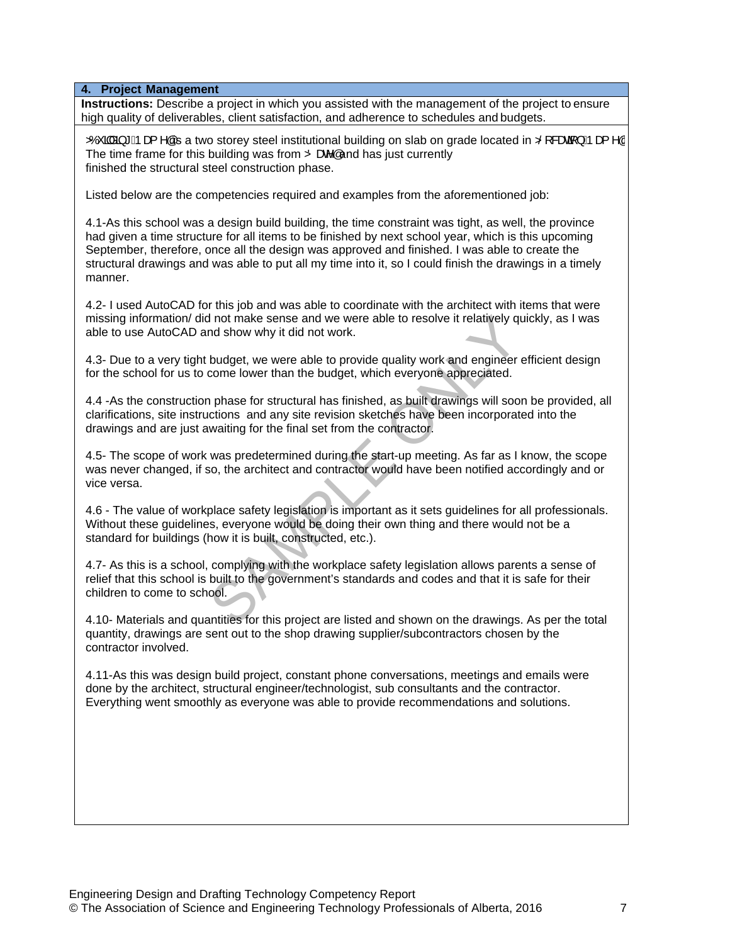**4. Project Management**

**Instructions:** Describe a project in which you assisted with the management of the project to ensure high quality of deliverables, client satisfaction, and adherence to schedules and budgets.

 $\overline{2}$ COCC  $\overline{2}$  Apex  $\overline{2}$  A  $\overline{4}$  and  $\overline{4}$  and  $\overline{2}$  is steel institutional building on slab on grade located in  $\overline{2}$ S &  $\overline{2}$  Apex  $\overline{4}$  A  $\overline{4}$ The time frame for this building was from  $\ddot{\mathbf{Z}}$  and has just currently finished the structural steel construction phase.

Listed below are the competencies required and examples from the aforementioned job:

4.1-As this school was a design build building, the time constraint was tight, as well, the province had given a time structure for all items to be finished by next school year, which is this upcoming September, therefore, once all the design was approved and finished. I was able to create the structural drawings and was able to put all my time into it, so I could finish the drawings in a timely manner.

4.2- I used AutoCAD for this job and was able to coordinate with the architect with items that were missing information/ did not make sense and we were able to resolve it relatively quickly, as I was able to use AutoCAD and show why it did not work.

4.3- Due to a very tight budget, we were able to provide quality work and engineer efficient design for the school for us to come lower than the budget, which everyone appreciated.

4.4 -As the construction phase for structural has finished, as built drawings will soon be provided, all clarifications, site instructions and any site revision sketches have been incorporated into the drawings and are just awaiting for the final set from the contractor.

4.5- The scope of work was predetermined during the start-up meeting. As far as I know, the scope was never changed, if so, the architect and contractor would have been notified accordingly and or vice versa.

4.6 - The value of workplace safety legislation is important as it sets guidelines for all professionals. Without these guidelines, everyone would be doing their own thing and there would not be a standard for buildings (how it is built, constructed, etc.). If not make sense and we were able to resolve it relatively qual show why it did not work.<br>
budget, we were able to provide quality work and engineer<br>
come lower than the budget, which everyone appreciated.<br>
In phase for s

4.7- As this is a school, complying with the workplace safety legislation allows parents a sense of relief that this school is built to the government's standards and codes and that it is safe for their children to come to school.

4.10- Materials and quantities for this project are listed and shown on the drawings. As per the total quantity, drawings are sent out to the shop drawing supplier/subcontractors chosen by the contractor involved.

4.11-As this was design build project, constant phone conversations, meetings and emails were done by the architect, structural engineer/technologist, sub consultants and the contractor. Everything went smoothly as everyone was able to provide recommendations and solutions.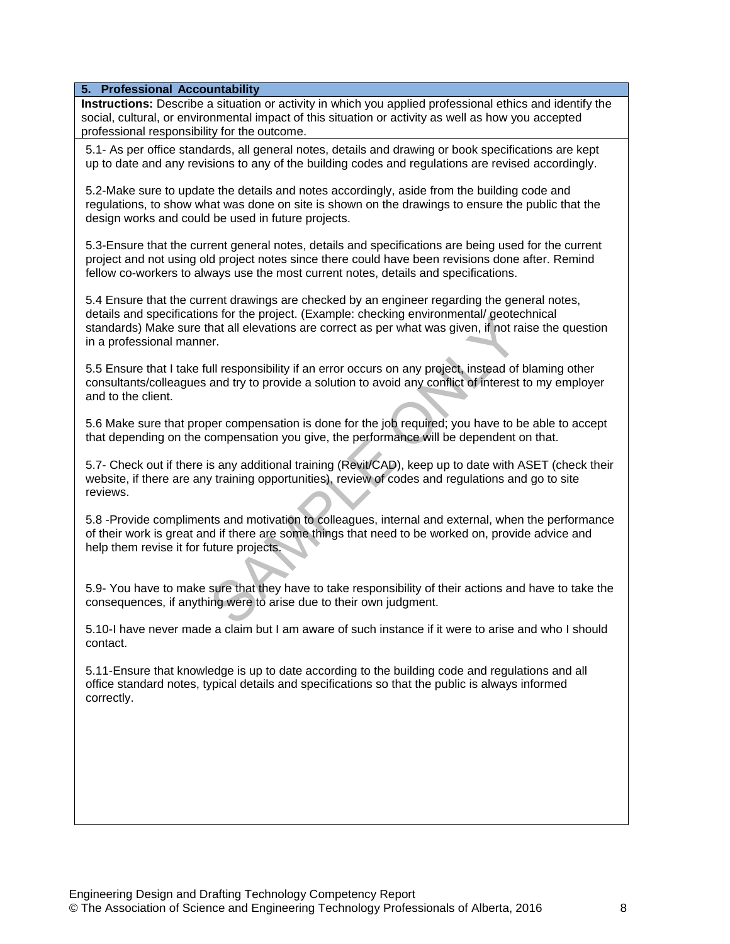### **5. Professional Accountability**

**Instructions:** Describe a situation or activity in which you applied professional ethics and identify the social, cultural, or environmental impact of this situation or activity as well as how you accepted professional responsibility for the outcome.

5.1- As per office standards, all general notes, details and drawing or book specifications are kept up to date and any revisions to any of the building codes and regulations are revised accordingly.

5.2-Make sure to update the details and notes accordingly, aside from the building code and regulations, to show what was done on site is shown on the drawings to ensure the public that the design works and could be used in future projects.

5.3-Ensure that the current general notes, details and specifications are being used for the current project and not using old project notes since there could have been revisions done after. Remind fellow co-workers to always use the most current notes, details and specifications.

5.4 Ensure that the current drawings are checked by an engineer regarding the general notes, details and specifications for the project. (Example: checking environmental/ geotechnical standards) Make sure that all elevations are correct as per what was given, if not raise the question in a professional manner.

5.5 Ensure that I take full responsibility if an error occurs on any project, instead of blaming other consultants/colleagues and try to provide a solution to avoid any conflict of interest to my employer and to the client. Is not the project. (Example, checking environmental yeoletics)<br>and all elevations are correct as per what was given, if not rate.<br>The same of the proposition of any conflict of interest<br>and try to provide a solution to av

5.6 Make sure that proper compensation is done for the job required; you have to be able to accept that depending on the compensation you give, the performance will be dependent on that.

5.7- Check out if there is any additional training (Revit/CAD), keep up to date with ASET (check their website, if there are any training opportunities), review of codes and regulations and go to site reviews.

5.8 -Provide compliments and motivation to colleagues, internal and external, when the performance of their work is great and if there are some things that need to be worked on, provide advice and help them revise it for future projects.

5.9- You have to make sure that they have to take responsibility of their actions and have to take the consequences, if anything were to arise due to their own judgment.

5.10-I have never made a claim but I am aware of such instance if it were to arise and who I should contact.

5.11-Ensure that knowledge is up to date according to the building code and regulations and all office standard notes, typical details and specifications so that the public is always informed correctly.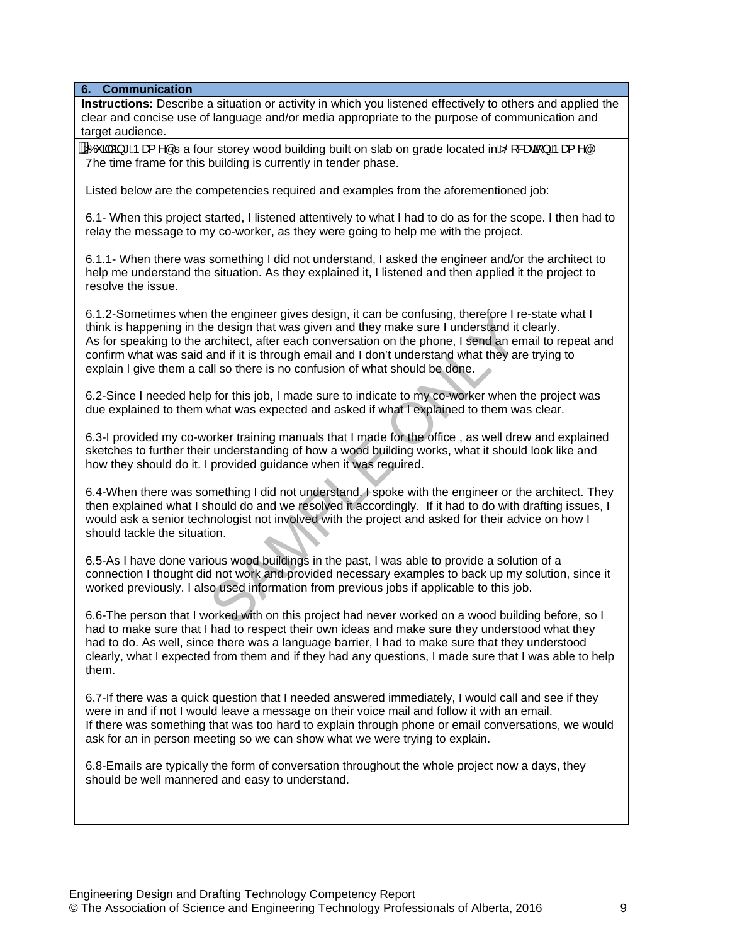**6. Communication**

**Instructions:** Describe a situation or activity in which you listened effectively to others and applied the clear and concise use of language and/or media appropriate to the purpose of communication and target audience.

 $3/2$  and  $*$  Apa  $*$  and  $*$  are storey wood building built on slab on grade located in $\frac{1}{20}$   $\frac{1}{20}$   $\frac{1}{20}$ Yhe time frame for this building is currently in tender phase.

Listed below are the competencies required and examples from the aforementioned job:

6.1- When this project started, I listened attentively to what I had to do as for the scope. I then had to relay the message to my co-worker, as they were going to help me with the project.

6.1.1- When there was something I did not understand, I asked the engineer and/or the architect to help me understand the situation. As they explained it, I listened and then applied it the project to resolve the issue.

6.1.2-Sometimes when the engineer gives design, it can be confusing, therefore I re-state what I think is happening in the design that was given and they make sure I understand it clearly. As for speaking to the architect, after each conversation on the phone, I send an email to repeat and confirm what was said and if it is through email and I don't understand what they are trying to explain I give them a call so there is no confusion of what should be done. The engine gives design, it can be collisted to the solution of the eignin that was given and they make sure I understand it architect, after each conversation on the phone, I send an erand if it is through email and I don

6.2-Since I needed help for this job, I made sure to indicate to my co-worker when the project was due explained to them what was expected and asked if what I explained to them was clear.

6.3-I provided my co-worker training manuals that I made for the office , as well drew and explained sketches to further their understanding of how a wood building works, what it should look like and how they should do it. I provided guidance when it was required.

6.4-When there was something I did not understand, I spoke with the engineer or the architect. They then explained what I should do and we resolved it accordingly. If it had to do with drafting issues, I would ask a senior technologist not involved with the project and asked for their advice on how I should tackle the situation.

6.5-As I have done various wood buildings in the past, I was able to provide a solution of a connection I thought did not work and provided necessary examples to back up my solution, since it worked previously. I also used information from previous jobs if applicable to this job.

6.6-The person that I worked with on this project had never worked on a wood building before, so I had to make sure that I had to respect their own ideas and make sure they understood what they had to do. As well, since there was a language barrier, I had to make sure that they understood clearly, what I expected from them and if they had any questions, I made sure that I was able to help them.

6.7-If there was a quick question that I needed answered immediately, I would call and see if they were in and if not I would leave a message on their voice mail and follow it with an email. If there was something that was too hard to explain through phone or email conversations, we would ask for an in person meeting so we can show what we were trying to explain.

6.8-Emails are typically the form of conversation throughout the whole project now a days, they should be well mannered and easy to understand.